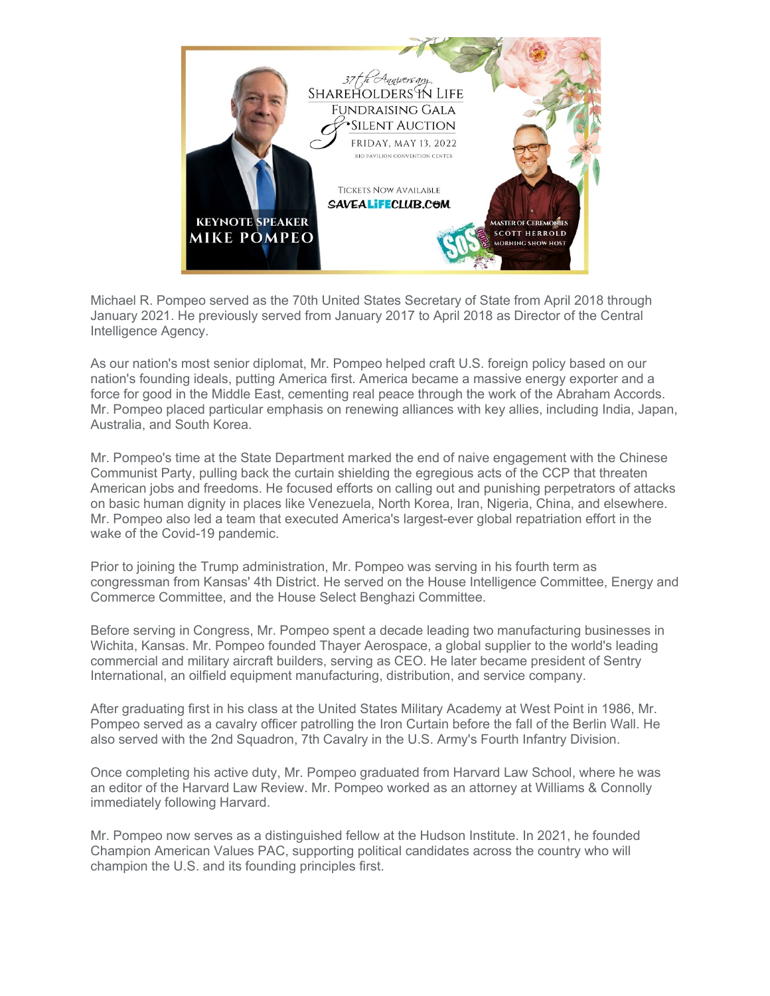

Michael R. Pompeo served as the 70th United States Secretary of State from April 2018 through January 2021. He previously served from January 2017 to April 2018 as Director of the Central Intelligence Agency.

As our nation's most senior diplomat, Mr. Pompeo helped craft U.S. foreign policy based on our nation's founding ideals, putting America first. America became a massive energy exporter and a force for good in the Middle East, cementing real peace through the work of the Abraham Accords. Mr. Pompeo placed particular emphasis on renewing alliances with key allies, including India, Japan, Australia, and South Korea.

Mr. Pompeo's time at the State Department marked the end of naive engagement with the Chinese Communist Party, pulling back the curtain shielding the egregious acts of the CCP that threaten American jobs and freedoms. He focused efforts on calling out and punishing perpetrators of attacks on basic human dignity in places like Venezuela, North Korea, Iran, Nigeria, China, and elsewhere. Mr. Pompeo also led a team that executed America's largest-ever global repatriation effort in the wake of the Covid-19 pandemic.

Prior to joining the Trump administration, Mr. Pompeo was serving in his fourth term as congressman from Kansas' 4th District. He served on the House Intelligence Committee, Energy and Commerce Committee, and the House Select Benghazi Committee.

Before serving in Congress, Mr. Pompeo spent a decade leading two manufacturing businesses in Wichita, Kansas. Mr. Pompeo founded Thayer Aerospace, a global supplier to the world's leading commercial and military aircraft builders, serving as CEO. He later became president of Sentry International, an oilfield equipment manufacturing, distribution, and service company.

After graduating first in his class at the United States Military Academy at West Point in 1986, Mr. Pompeo served as a cavalry officer patrolling the Iron Curtain before the fall of the Berlin Wall. He also served with the 2nd Squadron, 7th Cavalry in the U.S. Army's Fourth Infantry Division.

Once completing his active duty, Mr. Pompeo graduated from Harvard Law School, where he was an editor of the Harvard Law Review. Mr. Pompeo worked as an attorney at Williams & Connolly immediately following Harvard.

Mr. Pompeo now serves as a distinguished fellow at the Hudson Institute. In 2021, he founded Champion American Values PAC, supporting political candidates across the country who will champion the U.S. and its founding principles first.